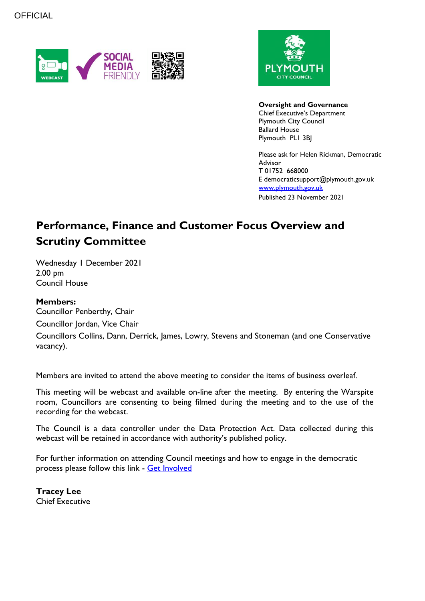



**Oversight and Governance** Chief Executive's Department Plymouth City Council Ballard House Plymouth PL1 3BJ

Please ask for Helen Rickman, Democratic Advisor T 01752 668000 E democraticsupport@plymouth.gov.uk [www.plymouth.gov.uk](https://www.plymouth.gov.uk/councillorscommitteesandmeetings) Published 23 November 2021

# **Performance, Finance and Customer Focus Overview and Scrutiny Committee**

Wednesday 1 December 2021 2.00 pm Council House

#### **Members:**

Councillor Penberthy, Chair

Councillor Jordan, Vice Chair

Councillors Collins, Dann, Derrick, James, Lowry, Stevens and Stoneman (and one Conservative vacancy).

Members are invited to attend the above meeting to consider the items of business overleaf.

This meeting will be webcast and available on-line after the meeting. By entering the Warspite room, Councillors are consenting to being filmed during the meeting and to the use of the recording for the webcast.

The Council is a data controller under the Data Protection Act. Data collected during this webcast will be retained in accordance with authority's published policy.

For further information on attending Council meetings and how to engage in the democratic process please follow this link - [Get Involved](https://www.plymouth.gov.uk/councillorscommitteesandmeetings/getinvolved)

**Tracey Lee** Chief Executive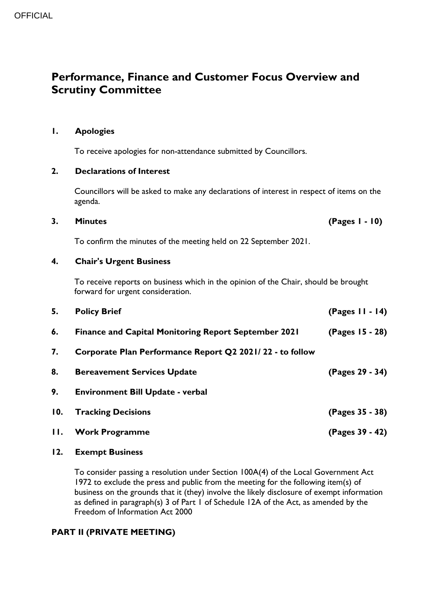# **Performance, Finance and Customer Focus Overview and Scrutiny Committee**

### **1. Apologies**

To receive apologies for non-attendance submitted by Councillors.

#### **2. Declarations of Interest**

Councillors will be asked to make any declarations of interest in respect of items on the agenda.

#### **3. Minutes (Pages 1 - 10)**

To confirm the minutes of the meeting held on 22 September 2021.

#### **4. Chair's Urgent Business**

To receive reports on business which in the opinion of the Chair, should be brought forward for urgent consideration.

| 5.  | <b>Policy Brief</b>                                         | $(Pages II - 14)$ |
|-----|-------------------------------------------------------------|-------------------|
| 6.  | <b>Finance and Capital Monitoring Report September 2021</b> | (Pages 15 - 28)   |
| 7.  | Corporate Plan Performance Report Q2 2021/22 - to follow    |                   |
| 8.  | <b>Bereavement Services Update</b>                          | (Pages 29 - 34)   |
| 9.  | <b>Environment Bill Update - verbal</b>                     |                   |
| 10. | <b>Tracking Decisions</b>                                   | (Pages 35 - 38)   |
| П.  | <b>Work Programme</b>                                       | (Pages 39 - 42)   |

#### **12. Exempt Business**

To consider passing a resolution under Section 100A(4) of the Local Government Act 1972 to exclude the press and public from the meeting for the following item(s) of business on the grounds that it (they) involve the likely disclosure of exempt information as defined in paragraph(s) 3 of Part 1 of Schedule 12A of the Act, as amended by the Freedom of Information Act 2000

## **PART II (PRIVATE MEETING)**